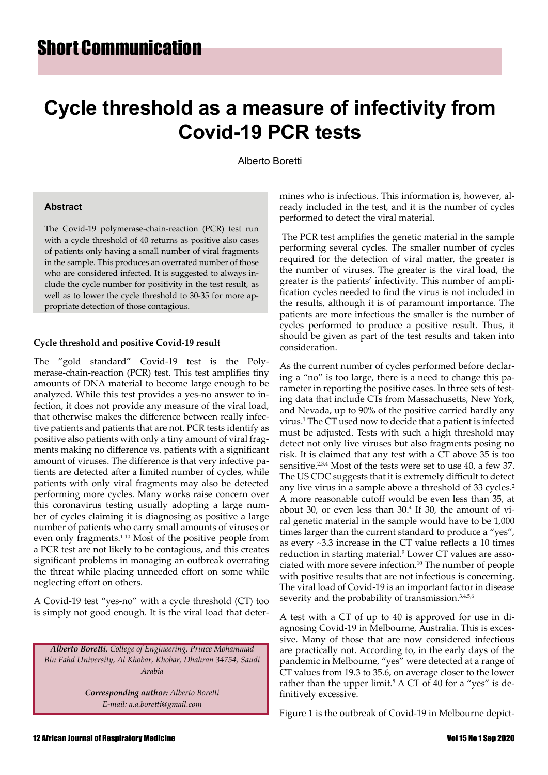# **Cycle threshold as a measure of infectivity from Covid-19 PCR tests**

Alberto Boretti

### **Abstract**

The Covid-19 polymerase-chain-reaction (PCR) test run with a cycle threshold of 40 returns as positive also cases of patients only having a small number of viral fragments in the sample. This produces an overrated number of those who are considered infected. It is suggested to always include the cycle number for positivity in the test result, as well as to lower the cycle threshold to 30-35 for more appropriate detection of those contagious.

### **Cycle threshold and positive Covid-19 result**

The "gold standard" Covid-19 test is the Polymerase-chain-reaction (PCR) test. This test amplifies tiny amounts of DNA material to become large enough to be analyzed. While this test provides a yes-no answer to infection, it does not provide any measure of the viral load, that otherwise makes the difference between really infective patients and patients that are not. PCR tests identify as positive also patients with only a tiny amount of viral fragments making no difference vs. patients with a significant amount of viruses. The difference is that very infective patients are detected after a limited number of cycles, while patients with only viral fragments may also be detected performing more cycles. Many works raise concern over this coronavirus testing usually adopting a large number of cycles claiming it is diagnosing as positive a large number of patients who carry small amounts of viruses or even only fragments.1-10 Most of the positive people from a PCR test are not likely to be contagious, and this creates significant problems in managing an outbreak overrating the threat while placing unneeded effort on some while neglecting effort on others.

A Covid-19 test "yes-no" with a cycle threshold (CT) too is simply not good enough. It is the viral load that deter-

*Alberto Boretti, College of Engineering, Prince Mohammad Bin Fahd University, Al Khobar, Khobar, Dhahran 34754, Saudi Arabia* 

> *Corresponding author: Alberto Boretti E-mail: a.a.boretti@gmail.com*

mines who is infectious. This information is, however, already included in the test, and it is the number of cycles performed to detect the viral material.

 The PCR test amplifies the genetic material in the sample performing several cycles. The smaller number of cycles required for the detection of viral matter, the greater is the number of viruses. The greater is the viral load, the greater is the patients' infectivity. This number of amplification cycles needed to find the virus is not included in the results, although it is of paramount importance. The patients are more infectious the smaller is the number of cycles performed to produce a positive result. Thus, it should be given as part of the test results and taken into consideration.

As the current number of cycles performed before declaring a "no" is too large, there is a need to change this parameter in reporting the positive cases. In three sets of testing data that include CTs from Massachusetts, New York, and Nevada, up to 90% of the positive carried hardly any virus.<sup>1</sup> The CT used now to decide that a patient is infected must be adjusted. Tests with such a high threshold may detect not only live viruses but also fragments posing no risk. It is claimed that any test with a CT above 35 is too sensitive.<sup>2,3,4</sup> Most of the tests were set to use 40, a few 37. The US CDC suggests that it is extremely difficult to detect any live virus in a sample above a threshold of 33 cycles.<sup>2</sup> A more reasonable cutoff would be even less than 35, at about 30, or even less than 30.4 If 30, the amount of viral genetic material in the sample would have to be 1,000 times larger than the current standard to produce a "yes", as every ~3.3 increase in the CT value reflects a 10 times reduction in starting material.<sup>9</sup> Lower CT values are associated with more severe infection.10 The number of people with positive results that are not infectious is concerning. The viral load of Covid-19 is an important factor in disease severity and the probability of transmission.<sup>3,4,5,6</sup>

A test with a CT of up to 40 is approved for use in diagnosing Covid-19 in Melbourne, Australia. This is excessive. Many of those that are now considered infectious are practically not. According to, in the early days of the pandemic in Melbourne, "yes" were detected at a range of CT values from 19.3 to 35.6, on average closer to the lower rather than the upper limit.<sup>8</sup> A CT of 40 for a "yes" is definitively excessive.

Figure 1 is the outbreak of Covid-19 in Melbourne depict-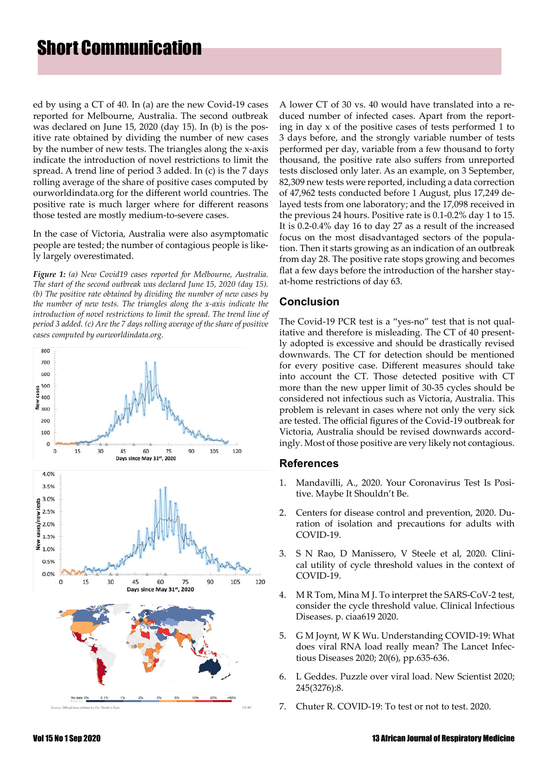## Short Communication

ed by using a CT of 40. In (a) are the new Covid-19 cases reported for Melbourne, Australia. The second outbreak was declared on June 15, 2020 (day 15). In (b) is the positive rate obtained by dividing the number of new cases by the number of new tests. The triangles along the x-axis indicate the introduction of novel restrictions to limit the spread. A trend line of period 3 added. In (c) is the 7 days rolling average of the share of positive cases computed by ourworldindata.org for the different world countries. The positive rate is much larger where for different reasons those tested are mostly medium-to-severe cases.

In the case of Victoria, Australia were also asymptomatic people are tested; the number of contagious people is likely largely overestimated.

*Figure 1: (a) New Covid19 cases reported for Melbourne, Australia. The start of the second outbreak was declared June 15, 2020 (day 15). (b) The positive rate obtained by dividing the number of new cases by the number of new tests. The triangles along the x-axis indicate the introduction of novel restrictions to limit the spread. The trend line of period 3 added. (c) Are the 7 days rolling average of the share of positive cases computed by ourworldindata.org.*



A lower CT of 30 vs. 40 would have translated into a reduced number of infected cases. Apart from the reporting in day x of the positive cases of tests performed 1 to 3 days before, and the strongly variable number of tests performed per day, variable from a few thousand to forty thousand, the positive rate also suffers from unreported tests disclosed only later. As an example, on 3 September, 82,309 new tests were reported, including a data correction of 47,962 tests conducted before 1 August, plus 17,249 delayed tests from one laboratory; and the 17,098 received in the previous 24 hours. Positive rate is 0.1-0.2% day 1 to 15. It is 0.2-0.4% day 16 to day 27 as a result of the increased focus on the most disadvantaged sectors of the population. Then it starts growing as an indication of an outbreak from day 28. The positive rate stops growing and becomes flat a few days before the introduction of the harsher stayat-home restrictions of day 63.

## **Conclusion**

The Covid-19 PCR test is a "yes-no" test that is not qualitative and therefore is misleading. The CT of 40 presently adopted is excessive and should be drastically revised downwards. The CT for detection should be mentioned for every positive case. Different measures should take into account the CT. Those detected positive with CT more than the new upper limit of 30-35 cycles should be considered not infectious such as Victoria, Australia. This problem is relevant in cases where not only the very sick are tested. The official figures of the Covid-19 outbreak for Victoria, Australia should be revised downwards accordingly. Most of those positive are very likely not contagious.

### **References**

- 1. Mandavilli, A., 2020. Your Coronavirus Test Is Positive. Maybe It Shouldn't Be.
- 2. Centers for disease control and prevention, 2020. Duration of isolation and precautions for adults with COVID-19.
- 3. S N Rao, D Manissero, V Steele et al, 2020. Clinical utility of cycle threshold values in the context of COVID-19.
- 4. M R Tom, Mina M J. To interpret the SARS-CoV-2 test, consider the cycle threshold value. Clinical Infectious Diseases. p. ciaa619 2020.
- 5. G M Joynt, W K Wu. Understanding COVID-19: What does viral RNA load really mean? The Lancet Infectious Diseases 2020; 20(6), pp.635-636.
- 6. L Geddes. Puzzle over viral load. New Scientist 2020; 245(3276):8.
- 7. Chuter R. COVID-19: To test or not to test. 2020.